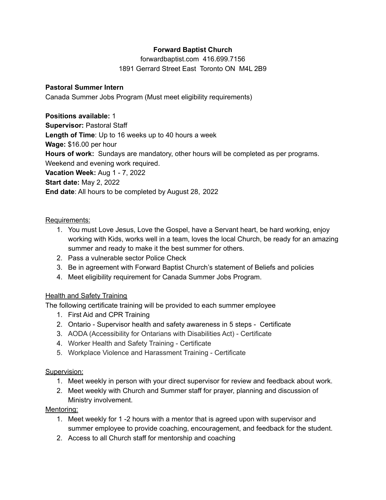# **Forward Baptist Church**

forwardbaptist.com 416.699.7156 1891 Gerrard Street East Toronto ON M4L 2B9

### **Pastoral Summer Intern**

Canada Summer Jobs Program (Must meet eligibility requirements)

### **Positions available:** 1

**Supervisor:** Pastoral Staff **Length of Time**: Up to 16 weeks up to 40 hours a week

**Wage:** \$16.00 per hour

**Hours of work:** Sundays are mandatory, other hours will be completed as per programs.

Weekend and evening work required.

**Vacation Week:** Aug 1 - 7, 2022

# **Start date:** May 2, 2022

**End date**: All hours to be completed by August 28, 2022

## Requirements:

- 1. You must Love Jesus, Love the Gospel, have a Servant heart, be hard working, enjoy working with Kids, works well in a team, loves the local Church, be ready for an amazing summer and ready to make it the best summer for others.
- 2. Pass a vulnerable sector Police Check
- 3. Be in agreement with Forward Baptist Church's statement of Beliefs and policies
- 4. Meet eligibility requirement for Canada Summer Jobs Program.

## Health and Safety Training

The following certificate training will be provided to each summer employee

- 1. First Aid and CPR Training
- 2. Ontario Supervisor health and safety awareness in 5 steps Certificate
- 3. AODA (Accessibility for Ontarians with Disabilities Act) Certificate
- 4. Worker Health and Safety Training Certificate
- 5. Workplace Violence and Harassment Training Certificate

## Supervision:

- 1. Meet weekly in person with your direct supervisor for review and feedback about work.
- 2. Meet weekly with Church and Summer staff for prayer, planning and discussion of Ministry involvement.

## Mentoring:

- 1. Meet weekly for 1 -2 hours with a mentor that is agreed upon with supervisor and summer employee to provide coaching, encouragement, and feedback for the student.
- 2. Access to all Church staff for mentorship and coaching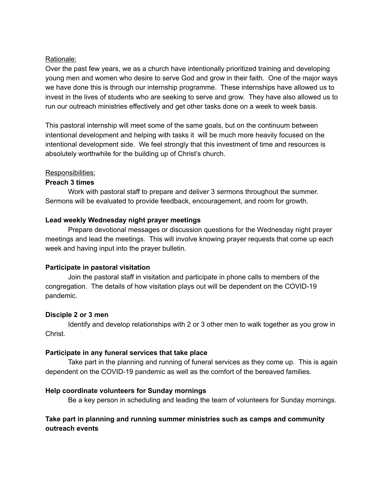#### Rationale:

Over the past few years, we as a church have intentionally prioritized training and developing young men and women who desire to serve God and grow in their faith. One of the major ways we have done this is through our internship programme. These internships have allowed us to invest in the lives of students who are seeking to serve and grow. They have also allowed us to run our outreach ministries effectively and get other tasks done on a week to week basis.

This pastoral internship will meet some of the same goals, but on the continuum between intentional development and helping with tasks it will be much more heavily focused on the intentional development side. We feel strongly that this investment of time and resources is absolutely worthwhile for the building up of Christ's church.

#### Responsibilities:

#### **Preach 3 times**

Work with pastoral staff to prepare and deliver 3 sermons throughout the summer. Sermons will be evaluated to provide feedback, encouragement, and room for growth.

#### **Lead weekly Wednesday night prayer meetings**

Prepare devotional messages or discussion questions for the Wednesday night prayer meetings and lead the meetings. This will involve knowing prayer requests that come up each week and having input into the prayer bulletin.

### **Participate in pastoral visitation**

Join the pastoral staff in visitation and participate in phone calls to members of the congregation. The details of how visitation plays out will be dependent on the COVID-19 pandemic.

### **Disciple 2 or 3 men**

Identify and develop relationships with 2 or 3 other men to walk together as you grow in Christ.

### **Participate in any funeral services that take place**

Take part in the planning and running of funeral services as they come up. This is again dependent on the COVID-19 pandemic as well as the comfort of the bereaved families.

### **Help coordinate volunteers for Sunday mornings**

Be a key person in scheduling and leading the team of volunteers for Sunday mornings.

### **Take part in planning and running summer ministries such as camps and community outreach events**